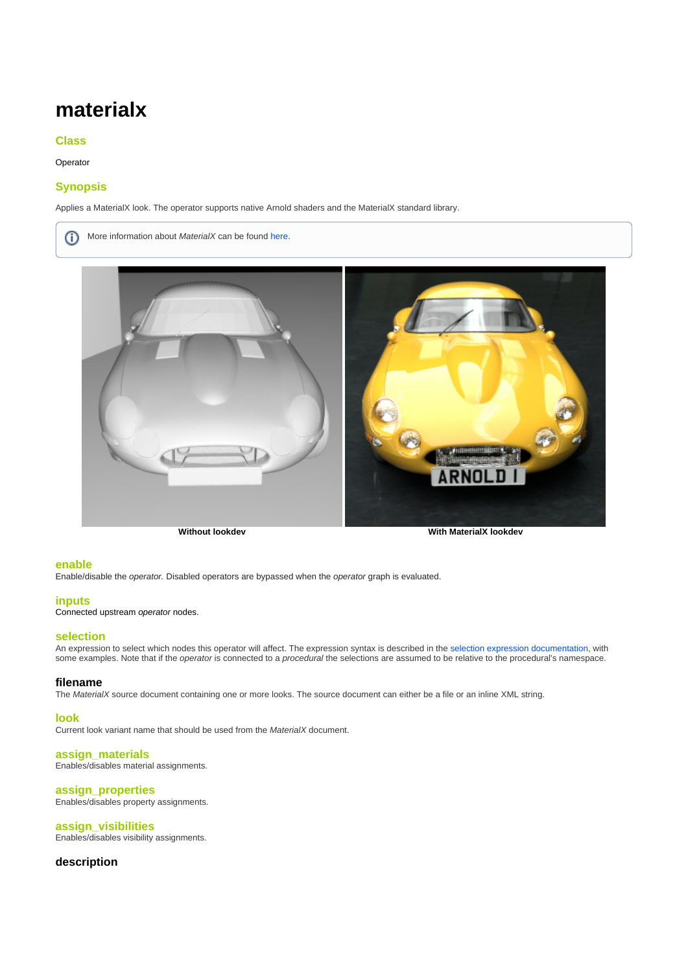# **materialx**

## <span id="page-0-0"></span>**[Class](#page-0-0)**

Operator

# <span id="page-0-1"></span>**[Synopsis](#page-0-1)**

Applies a MaterialX look. The operator supports native Arnold shaders and the MaterialX standard library.

More information about MaterialX can be found [here](http://www.materialx.org/SampleFiles.html). ന



**Without lookdev With MaterialX lookdev**

#### <span id="page-0-2"></span>**[enable](#page-0-2)**

Enable/disable the operator. Disabled operators are bypassed when the operator graph is evaluated.

#### <span id="page-0-3"></span>**[inputs](#page-0-3)**

Connected upstream operator nodes.

### <span id="page-0-4"></span>**[selection](#page-0-4)**

An expression to select which nodes this operator will affect. The expression syntax is described in the [selection expression documentation](https://docs.arnoldrenderer.com/display/A5NodeRef/operators#operators-selections), with some examples. Note that if the *operator* is connected to a *procedural* the selections are assumed to be relative to the procedural's namespace.

#### **filename**

The MaterialX source document containing one or more looks. The source document can either be a file or an inline XML string.

#### <span id="page-0-5"></span>**[look](#page-0-5)**

Current look variant name that should be used from the MaterialX document.

#### <span id="page-0-6"></span>**[assign\\_materials](#page-0-6)**

Enables/disables material assignments.

## <span id="page-0-7"></span>**[assign\\_properties](#page-0-7)**

Enables/disables property assignments.

# <span id="page-0-8"></span>**[assign\\_visibilities](#page-0-8)**

Enables/disables visibility assignments.

## **description**